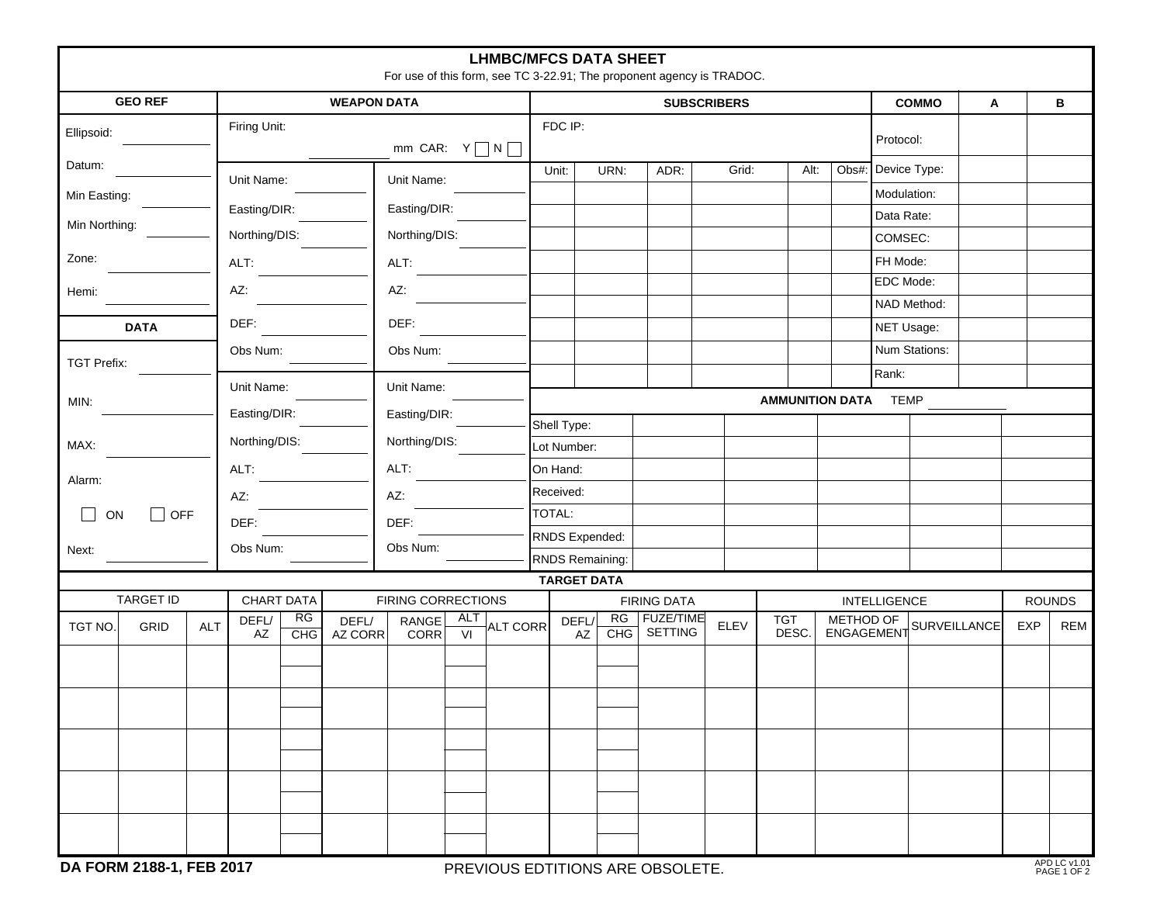|               |                            |            |                                    |                                         |                  |               |                        | <b>LHMBC/MFCS DATA SHEET</b> |                                   |      | For use of this form, see TC 3-22.91; The proponent agency is TRADOC. |           |                     |  |                       |                                      |   |     |               |  |
|---------------|----------------------------|------------|------------------------------------|-----------------------------------------|------------------|---------------|------------------------|------------------------------|-----------------------------------|------|-----------------------------------------------------------------------|-----------|---------------------|--|-----------------------|--------------------------------------|---|-----|---------------|--|
|               | <b>GEO REF</b>             |            | <b>WEAPON DATA</b>                 |                                         |                  |               |                        |                              | <b>SUBSCRIBERS</b>                |      |                                                                       |           |                     |  |                       | <b>COMMO</b>                         | Α |     | В             |  |
| Ellipsoid:    |                            |            | Firing Unit:<br>mm CAR: $Y \cap N$ |                                         |                  |               |                        |                              | FDC IP:                           |      |                                                                       | Protocol: |                     |  |                       |                                      |   |     |               |  |
| Datum:        |                            |            | Unit Name:                         |                                         |                  | Unit Name:    |                        |                              | Unit:                             | URN: | ADR:                                                                  | Grid:     | Alt:                |  |                       | Obs#: Device Type:                   |   |     |               |  |
| Min Easting:  |                            |            |                                    |                                         |                  |               |                        |                              |                                   |      |                                                                       |           |                     |  | Modulation:           |                                      |   |     |               |  |
| Min Northing: |                            |            | Easting/DIR:                       |                                         |                  | Easting/DIR:  |                        |                              |                                   |      |                                                                       |           |                     |  | Data Rate:            |                                      |   |     |               |  |
|               |                            |            | Northing/DIS:                      |                                         |                  | Northing/DIS: |                        |                              |                                   |      |                                                                       |           |                     |  | COMSEC:               |                                      |   |     |               |  |
| Zone:         |                            |            | ALT:                               |                                         |                  | ALT:          |                        |                              |                                   |      |                                                                       |           |                     |  | FH Mode:<br>EDC Mode: |                                      |   |     |               |  |
| Hemi:         |                            |            | AZ:                                |                                         |                  | AZ:           |                        |                              |                                   |      |                                                                       |           |                     |  |                       | NAD Method:                          |   |     |               |  |
|               | <b>DATA</b>                |            | DEF:                               |                                         |                  | DEF:          |                        |                              |                                   |      |                                                                       |           |                     |  |                       | NET Usage:                           |   |     |               |  |
|               |                            |            | Obs Num:                           |                                         |                  | Obs Num:      |                        |                              |                                   |      |                                                                       |           |                     |  |                       | Num Stations:                        |   |     |               |  |
|               | <b>TGT Prefix:</b>         |            |                                    |                                         |                  |               |                        |                              |                                   |      |                                                                       |           |                     |  | Rank:                 |                                      |   |     |               |  |
| MIN:          |                            |            | Unit Name:                         |                                         |                  | Unit Name:    |                        |                              | <b>AMMUNITION DATA TEMP</b>       |      |                                                                       |           |                     |  |                       |                                      |   |     |               |  |
|               |                            |            | Easting/DIR:                       |                                         |                  | Easting/DIR:  |                        |                              | Shell Type:                       |      |                                                                       |           |                     |  |                       |                                      |   |     |               |  |
| MAX:          |                            |            | Northing/DIS:                      |                                         |                  | Northing/DIS: |                        |                              | Lot Number:                       |      |                                                                       |           |                     |  |                       |                                      |   |     |               |  |
| Alarm:        |                            |            | ALT:                               |                                         |                  | ALT:          |                        |                              | On Hand:                          |      |                                                                       |           |                     |  |                       |                                      |   |     |               |  |
|               |                            |            | AZ:                                |                                         |                  | AZ:           |                        |                              | Received:                         |      |                                                                       |           |                     |  |                       |                                      |   |     |               |  |
|               | $\Box$<br>$\Box$ OFF<br>ON |            | DEF:                               |                                         |                  | DEF:          |                        |                              | TOTAL:                            |      |                                                                       |           |                     |  |                       |                                      |   |     |               |  |
| Next:         |                            |            | Obs Num:                           |                                         |                  | Obs Num:      |                        |                              | RNDS Expended:<br>RNDS Remaining: |      |                                                                       |           |                     |  |                       |                                      |   |     |               |  |
|               |                            |            |                                    |                                         |                  |               |                        |                              | <b>TARGET DATA</b>                |      |                                                                       |           |                     |  |                       |                                      |   |     |               |  |
|               | <b>TARGET ID</b>           |            |                                    | <b>CHART DATA</b><br>FIRING CORRECTIONS |                  |               |                        |                              | <b>FIRING DATA</b>                |      |                                                                       |           |                     |  |                       | <b>INTELLIGENCE</b>                  |   |     | <b>ROUNDS</b> |  |
| TGT NO.       | GRID                       | <b>ALT</b> | DEFL/<br>AZ                        | RG<br>CHG                               | DEFL/<br>AZ CORR | RANGE<br>CORR | ALT<br>$\overline{VI}$ | <b>ALT CORR</b>              | DEFL/<br>AZ                       | CHG  | RG   FUZE/TIME<br>SETTING                                             | ELEV      | <b>TGT</b><br>DESC. |  |                       | METHOD OF<br>ENGAGEMENT SURVEILLANCE |   | EXP | <b>REM</b>    |  |
|               |                            |            |                                    |                                         |                  |               |                        |                              |                                   |      |                                                                       |           |                     |  |                       |                                      |   |     |               |  |
|               |                            |            |                                    |                                         |                  |               |                        |                              |                                   |      |                                                                       |           |                     |  |                       |                                      |   |     |               |  |
|               |                            |            |                                    |                                         |                  |               |                        |                              |                                   |      |                                                                       |           |                     |  |                       |                                      |   |     |               |  |
|               |                            |            |                                    |                                         |                  |               |                        |                              |                                   |      |                                                                       |           |                     |  |                       |                                      |   |     |               |  |
|               |                            |            |                                    |                                         |                  |               |                        |                              |                                   |      |                                                                       |           |                     |  |                       |                                      |   |     |               |  |
|               |                            |            |                                    |                                         |                  |               |                        |                              |                                   |      |                                                                       |           |                     |  |                       |                                      |   |     |               |  |